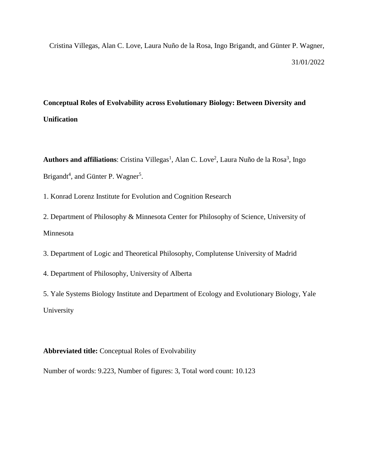Cristina Villegas, Alan C. Love, Laura Nuño de la Rosa, Ingo Brigandt, and Günter P. Wagner, 31/01/2022

### **Conceptual Roles of Evolvability across Evolutionary Biology: Between Diversity and Unification**

Authors and affiliations: Cristina Villegas<sup>1</sup>, Alan C. Love<sup>2</sup>, Laura Nuño de la Rosa<sup>3</sup>, Ingo Brigandt<sup>4</sup>, and Günter P. Wagner<sup>5</sup>.

1. Konrad Lorenz Institute for Evolution and Cognition Research

2. Department of Philosophy & Minnesota Center for Philosophy of Science, University of Minnesota

3. Department of Logic and Theoretical Philosophy, Complutense University of Madrid

4. Department of Philosophy, University of Alberta

5. Yale Systems Biology Institute and Department of Ecology and Evolutionary Biology, Yale University

**Abbreviated title:** Conceptual Roles of Evolvability

Number of words: 9.223, Number of figures: 3, Total word count: 10.123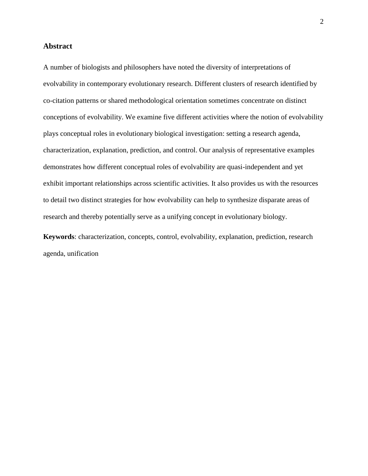#### **Abstract**

A number of biologists and philosophers have noted the diversity of interpretations of evolvability in contemporary evolutionary research. Different clusters of research identified by co-citation patterns or shared methodological orientation sometimes concentrate on distinct conceptions of evolvability. We examine five different activities where the notion of evolvability plays conceptual roles in evolutionary biological investigation: setting a research agenda, characterization, explanation, prediction, and control. Our analysis of representative examples demonstrates how different conceptual roles of evolvability are quasi-independent and yet exhibit important relationships across scientific activities. It also provides us with the resources to detail two distinct strategies for how evolvability can help to synthesize disparate areas of research and thereby potentially serve as a unifying concept in evolutionary biology.

**Keywords**: characterization, concepts, control, evolvability, explanation, prediction, research agenda, unification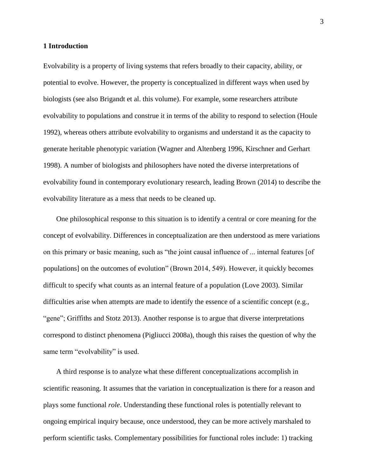#### **1 Introduction**

Evolvability is a property of living systems that refers broadly to their capacity, ability, or potential to evolve. However, the property is conceptualized in different ways when used by biologists (see also Brigandt et al. this volume). For example, some researchers attribute evolvability to populations and construe it in terms of the ability to respond to selection (Houle 1992), whereas others attribute evolvability to organisms and understand it as the capacity to generate heritable phenotypic variation (Wagner and Altenberg 1996, Kirschner and Gerhart 1998). A number of biologists and philosophers have noted the diverse interpretations of evolvability found in contemporary evolutionary research, leading Brown (2014) to describe the evolvability literature as a mess that needs to be cleaned up.

One philosophical response to this situation is to identify a central or core meaning for the concept of evolvability. Differences in conceptualization are then understood as mere variations on this primary or basic meaning, such as "the joint causal influence of ... internal features [of populations] on the outcomes of evolution" (Brown 2014, 549). However, it quickly becomes difficult to specify what counts as an internal feature of a population (Love 2003). Similar difficulties arise when attempts are made to identify the essence of a scientific concept (e.g., "gene"; Griffiths and Stotz 2013). Another response is to argue that diverse interpretations correspond to distinct phenomena (Pigliucci 2008a), though this raises the question of why the same term "evolvability" is used.

A third response is to analyze what these different conceptualizations accomplish in scientific reasoning. It assumes that the variation in conceptualization is there for a reason and plays some functional *role*. Understanding these functional roles is potentially relevant to ongoing empirical inquiry because, once understood, they can be more actively marshaled to perform scientific tasks. Complementary possibilities for functional roles include: 1) tracking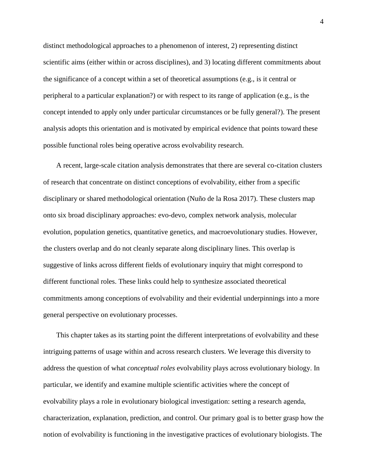distinct methodological approaches to a phenomenon of interest, 2) representing distinct scientific aims (either within or across disciplines), and 3) locating different commitments about the significance of a concept within a set of theoretical assumptions (e.g., is it central or peripheral to a particular explanation?) or with respect to its range of application (e.g., is the concept intended to apply only under particular circumstances or be fully general?). The present analysis adopts this orientation and is motivated by empirical evidence that points toward these possible functional roles being operative across evolvability research.

A recent, large-scale citation analysis demonstrates that there are several co-citation clusters of research that concentrate on distinct conceptions of evolvability, either from a specific disciplinary or shared methodological orientation (Nuño de la Rosa 2017). These clusters map onto six broad disciplinary approaches: evo-devo, complex network analysis, molecular evolution, population genetics, quantitative genetics, and macroevolutionary studies. However, the clusters overlap and do not cleanly separate along disciplinary lines. This overlap is suggestive of links across different fields of evolutionary inquiry that might correspond to different functional roles. These links could help to synthesize associated theoretical commitments among conceptions of evolvability and their evidential underpinnings into a more general perspective on evolutionary processes.

This chapter takes as its starting point the different interpretations of evolvability and these intriguing patterns of usage within and across research clusters. We leverage this diversity to address the question of what *conceptual roles* evolvability plays across evolutionary biology. In particular, we identify and examine multiple scientific activities where the concept of evolvability plays a role in evolutionary biological investigation: setting a research agenda, characterization, explanation, prediction, and control. Our primary goal is to better grasp how the notion of evolvability is functioning in the investigative practices of evolutionary biologists. The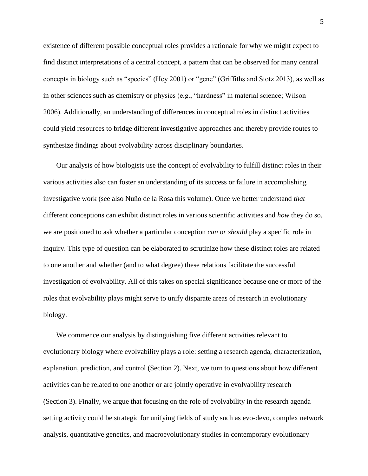existence of different possible conceptual roles provides a rationale for why we might expect to find distinct interpretations of a central concept, a pattern that can be observed for many central concepts in biology such as "species" (Hey 2001) or "gene" (Griffiths and Stotz 2013), as well as in other sciences such as chemistry or physics (e.g., "hardness" in material science; Wilson 2006). Additionally, an understanding of differences in conceptual roles in distinct activities could yield resources to bridge different investigative approaches and thereby provide routes to synthesize findings about evolvability across disciplinary boundaries.

Our analysis of how biologists use the concept of evolvability to fulfill distinct roles in their various activities also can foster an understanding of its success or failure in accomplishing investigative work (see also Nuño de la Rosa this volume). Once we better understand *that* different conceptions can exhibit distinct roles in various scientific activities and *how* they do so, we are positioned to ask whether a particular conception *can or should* play a specific role in inquiry. This type of question can be elaborated to scrutinize how these distinct roles are related to one another and whether (and to what degree) these relations facilitate the successful investigation of evolvability. All of this takes on special significance because one or more of the roles that evolvability plays might serve to unify disparate areas of research in evolutionary biology.

We commence our analysis by distinguishing five different activities relevant to evolutionary biology where evolvability plays a role: setting a research agenda, characterization, explanation, prediction, and control (Section 2). Next, we turn to questions about how different activities can be related to one another or are jointly operative in evolvability research (Section 3). Finally, we argue that focusing on the role of evolvability in the research agenda setting activity could be strategic for unifying fields of study such as evo-devo, complex network analysis, quantitative genetics, and macroevolutionary studies in contemporary evolutionary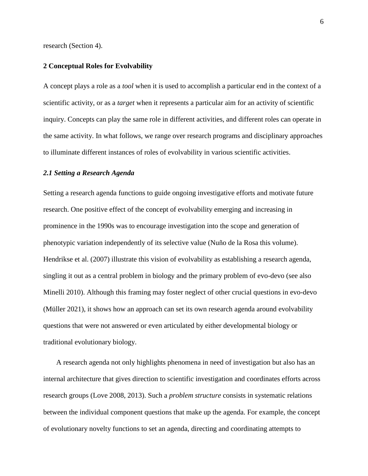research (Section 4).

#### **2 Conceptual Roles for Evolvability**

A concept plays a role as a *tool* when it is used to accomplish a particular end in the context of a scientific activity, or as a *target* when it represents a particular aim for an activity of scientific inquiry. Concepts can play the same role in different activities, and different roles can operate in the same activity. In what follows, we range over research programs and disciplinary approaches to illuminate different instances of roles of evolvability in various scientific activities.

#### *2.1 Setting a Research Agenda*

Setting a research agenda functions to guide ongoing investigative efforts and motivate future research. One positive effect of the concept of evolvability emerging and increasing in prominence in the 1990s was to encourage investigation into the scope and generation of phenotypic variation independently of its selective value (Nuño de la Rosa this volume). Hendrikse et al. (2007) illustrate this vision of evolvability as establishing a research agenda, singling it out as a central problem in biology and the primary problem of evo-devo (see also Minelli 2010). Although this framing may foster neglect of other crucial questions in evo-devo (Müller 2021), it shows how an approach can set its own research agenda around evolvability questions that were not answered or even articulated by either developmental biology or traditional evolutionary biology.

A research agenda not only highlights phenomena in need of investigation but also has an internal architecture that gives direction to scientific investigation and coordinates efforts across research groups (Love 2008, 2013). Such a *problem structure* consists in systematic relations between the individual component questions that make up the agenda. For example, the concept of evolutionary novelty functions to set an agenda, directing and coordinating attempts to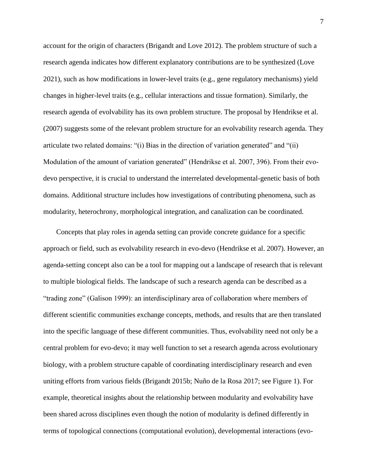account for the origin of characters (Brigandt and Love 2012). The problem structure of such a research agenda indicates how different explanatory contributions are to be synthesized (Love 2021), such as how modifications in lower-level traits (e.g., gene regulatory mechanisms) yield changes in higher-level traits (e.g., cellular interactions and tissue formation). Similarly, the research agenda of evolvability has its own problem structure. The proposal by Hendrikse et al. (2007) suggests some of the relevant problem structure for an evolvability research agenda. They articulate two related domains: "(i) Bias in the direction of variation generated" and "(ii) Modulation of the amount of variation generated" (Hendrikse et al. 2007, 396). From their evodevo perspective, it is crucial to understand the interrelated developmental-genetic basis of both domains. Additional structure includes how investigations of contributing phenomena, such as modularity, heterochrony, morphological integration, and canalization can be coordinated.

Concepts that play roles in agenda setting can provide concrete guidance for a specific approach or field, such as evolvability research in evo-devo (Hendrikse et al. 2007). However, an agenda-setting concept also can be a tool for mapping out a landscape of research that is relevant to multiple biological fields. The landscape of such a research agenda can be described as a "trading zone" (Galison 1999): an interdisciplinary area of collaboration where members of different scientific communities exchange concepts, methods, and results that are then translated into the specific language of these different communities. Thus, evolvability need not only be a central problem for evo-devo; it may well function to set a research agenda across evolutionary biology, with a problem structure capable of coordinating interdisciplinary research and even uniting efforts from various fields (Brigandt 2015b; Nuño de la Rosa 2017; see Figure 1). For example, theoretical insights about the relationship between modularity and evolvability have been shared across disciplines even though the notion of modularity is defined differently in terms of topological connections (computational evolution), developmental interactions (evo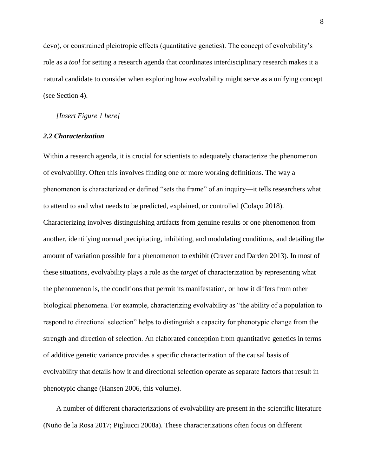devo), or constrained pleiotropic effects (quantitative genetics). The concept of evolvability's role as a *tool* for setting a research agenda that coordinates interdisciplinary research makes it a natural candidate to consider when exploring how evolvability might serve as a unifying concept (see Section 4).

#### *[Insert Figure 1 here]*

#### *2.2 Characterization*

Within a research agenda, it is crucial for scientists to adequately characterize the phenomenon of evolvability. Often this involves finding one or more working definitions. The way a phenomenon is characterized or defined "sets the frame" of an inquiry—it tells researchers what to attend to and what needs to be predicted, explained, or controlled (Colaço 2018). Characterizing involves distinguishing artifacts from genuine results or one phenomenon from another, identifying normal precipitating, inhibiting, and modulating conditions, and detailing the amount of variation possible for a phenomenon to exhibit (Craver and Darden 2013). In most of these situations, evolvability plays a role as the *target* of characterization by representing what the phenomenon is, the conditions that permit its manifestation, or how it differs from other biological phenomena. For example, characterizing evolvability as "the ability of a population to respond to directional selection" helps to distinguish a capacity for phenotypic change from the strength and direction of selection. An elaborated conception from quantitative genetics in terms of additive genetic variance provides a specific characterization of the causal basis of evolvability that details how it and directional selection operate as separate factors that result in phenotypic change (Hansen 2006, this volume).

A number of different characterizations of evolvability are present in the scientific literature (Nuño de la Rosa 2017; Pigliucci 2008a). These characterizations often focus on different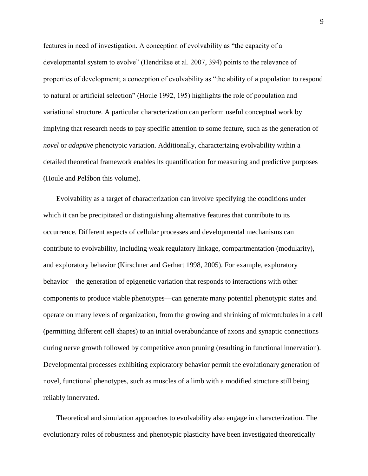features in need of investigation. A conception of evolvability as "the capacity of a developmental system to evolve" (Hendrikse et al. 2007, 394) points to the relevance of properties of development; a conception of evolvability as "the ability of a population to respond to natural or artificial selection" (Houle 1992, 195) highlights the role of population and variational structure. A particular characterization can perform useful conceptual work by implying that research needs to pay specific attention to some feature, such as the generation of *novel* or *adaptive* phenotypic variation. Additionally, characterizing evolvability within a detailed theoretical framework enables its quantification for measuring and predictive purposes (Houle and Pelábon this volume).

Evolvability as a target of characterization can involve specifying the conditions under which it can be precipitated or distinguishing alternative features that contribute to its occurrence. Different aspects of cellular processes and developmental mechanisms can contribute to evolvability, including weak regulatory linkage, compartmentation (modularity), and exploratory behavior (Kirschner and Gerhart 1998, 2005). For example, exploratory behavior—the generation of epigenetic variation that responds to interactions with other components to produce viable phenotypes—can generate many potential phenotypic states and operate on many levels of organization, from the growing and shrinking of microtubules in a cell (permitting different cell shapes) to an initial overabundance of axons and synaptic connections during nerve growth followed by competitive axon pruning (resulting in functional innervation). Developmental processes exhibiting exploratory behavior permit the evolutionary generation of novel, functional phenotypes, such as muscles of a limb with a modified structure still being reliably innervated.

Theoretical and simulation approaches to evolvability also engage in characterization. The evolutionary roles of robustness and phenotypic plasticity have been investigated theoretically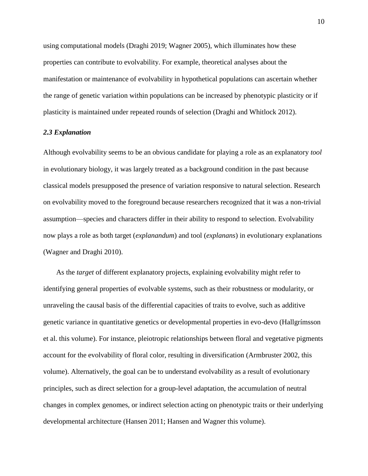using computational models (Draghi 2019; Wagner 2005), which illuminates how these properties can contribute to evolvability. For example, theoretical analyses about the manifestation or maintenance of evolvability in hypothetical populations can ascertain whether the range of genetic variation within populations can be increased by phenotypic plasticity or if plasticity is maintained under repeated rounds of selection (Draghi and Whitlock 2012).

#### *2.3 Explanation*

Although evolvability seems to be an obvious candidate for playing a role as an explanatory *tool* in evolutionary biology, it was largely treated as a background condition in the past because classical models presupposed the presence of variation responsive to natural selection. Research on evolvability moved to the foreground because researchers recognized that it was a non-trivial assumption—species and characters differ in their ability to respond to selection. Evolvability now plays a role as both target (*explanandum*) and tool (*explanans*) in evolutionary explanations (Wagner and Draghi 2010).

As the *target* of different explanatory projects, explaining evolvability might refer to identifying general properties of evolvable systems, such as their robustness or modularity, or unraveling the causal basis of the differential capacities of traits to evolve, such as additive genetic variance in quantitative genetics or developmental properties in evo-devo (Hallgrímsson et al. this volume). For instance, pleiotropic relationships between floral and vegetative pigments account for the evolvability of floral color, resulting in diversification (Armbruster 2002, this volume). Alternatively, the goal can be to understand evolvability as a result of evolutionary principles, such as direct selection for a group-level adaptation, the accumulation of neutral changes in complex genomes, or indirect selection acting on phenotypic traits or their underlying developmental architecture (Hansen 2011; Hansen and Wagner this volume).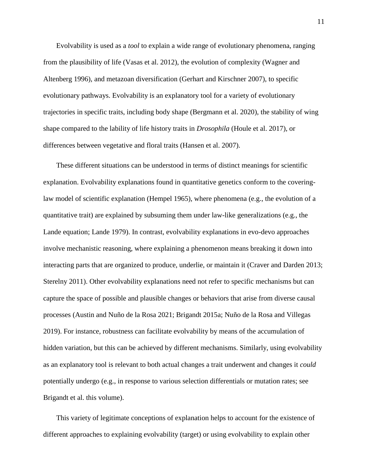Evolvability is used as a *tool* to explain a wide range of evolutionary phenomena, ranging from the plausibility of life (Vasas et al. 2012), the evolution of complexity (Wagner and Altenberg 1996), and metazoan diversification (Gerhart and Kirschner 2007), to specific evolutionary pathways. Evolvability is an explanatory tool for a variety of evolutionary trajectories in specific traits, including body shape (Bergmann et al. 2020), the stability of wing shape compared to the lability of life history traits in *Drosophila* (Houle et al. 2017), or differences between vegetative and floral traits (Hansen et al. 2007).

These different situations can be understood in terms of distinct meanings for scientific explanation. Evolvability explanations found in quantitative genetics conform to the coveringlaw model of scientific explanation (Hempel 1965), where phenomena (e.g., the evolution of a quantitative trait) are explained by subsuming them under law-like generalizations (e.g., the Lande equation; Lande 1979). In contrast, evolvability explanations in evo-devo approaches involve mechanistic reasoning, where explaining a phenomenon means breaking it down into interacting parts that are organized to produce, underlie, or maintain it (Craver and Darden 2013; Sterelny 2011). Other evolvability explanations need not refer to specific mechanisms but can capture the space of possible and plausible changes or behaviors that arise from diverse causal processes (Austin and Nuño de la Rosa 2021; Brigandt 2015a; Nuño de la Rosa and Villegas 2019). For instance, robustness can facilitate evolvability by means of the accumulation of hidden variation, but this can be achieved by different mechanisms. Similarly, using evolvability as an explanatory tool is relevant to both actual changes a trait underwent and changes it *could* potentially undergo (e.g., in response to various selection differentials or mutation rates; see Brigandt et al. this volume).

This variety of legitimate conceptions of explanation helps to account for the existence of different approaches to explaining evolvability (target) or using evolvability to explain other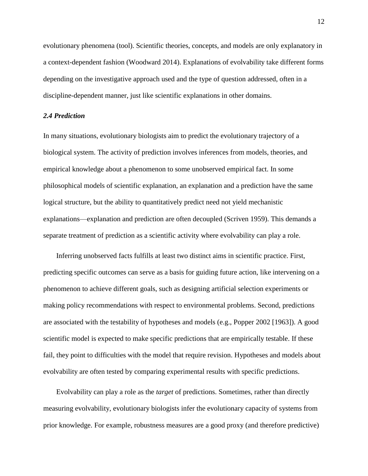evolutionary phenomena (tool). Scientific theories, concepts, and models are only explanatory in a context-dependent fashion (Woodward 2014). Explanations of evolvability take different forms depending on the investigative approach used and the type of question addressed, often in a discipline-dependent manner, just like scientific explanations in other domains.

#### *2.4 Prediction*

In many situations, evolutionary biologists aim to predict the evolutionary trajectory of a biological system. The activity of prediction involves inferences from models, theories, and empirical knowledge about a phenomenon to some unobserved empirical fact. In some philosophical models of scientific explanation, an explanation and a prediction have the same logical structure, but the ability to quantitatively predict need not yield mechanistic explanations—explanation and prediction are often decoupled (Scriven 1959). This demands a separate treatment of prediction as a scientific activity where evolvability can play a role.

Inferring unobserved facts fulfills at least two distinct aims in scientific practice. First, predicting specific outcomes can serve as a basis for guiding future action, like intervening on a phenomenon to achieve different goals, such as designing artificial selection experiments or making policy recommendations with respect to environmental problems. Second, predictions are associated with the testability of hypotheses and models (e.g., Popper 2002 [1963]). A good scientific model is expected to make specific predictions that are empirically testable. If these fail, they point to difficulties with the model that require revision. Hypotheses and models about evolvability are often tested by comparing experimental results with specific predictions.

Evolvability can play a role as the *target* of predictions. Sometimes, rather than directly measuring evolvability, evolutionary biologists infer the evolutionary capacity of systems from prior knowledge. For example, robustness measures are a good proxy (and therefore predictive)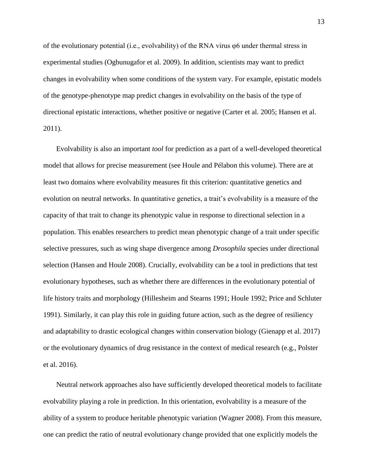of the evolutionary potential (i.e., evolvability) of the RNA virus φ6 under thermal stress in experimental studies (Ogbunugafor et al. 2009). In addition, scientists may want to predict changes in evolvability when some conditions of the system vary. For example, epistatic models of the genotype-phenotype map predict changes in evolvability on the basis of the type of directional epistatic interactions, whether positive or negative (Carter et al. 2005; Hansen et al. 2011).

Evolvability is also an important *tool* for prediction as a part of a well-developed theoretical model that allows for precise measurement (see Houle and Pélabon this volume). There are at least two domains where evolvability measures fit this criterion: quantitative genetics and evolution on neutral networks. In quantitative genetics, a trait's evolvability is a measure of the capacity of that trait to change its phenotypic value in response to directional selection in a population. This enables researchers to predict mean phenotypic change of a trait under specific selective pressures, such as wing shape divergence among *Drosophila* species under directional selection (Hansen and Houle 2008). Crucially, evolvability can be a tool in predictions that test evolutionary hypotheses, such as whether there are differences in the evolutionary potential of life history traits and morphology (Hillesheim and Stearns 1991; Houle 1992; Price and Schluter 1991). Similarly, it can play this role in guiding future action, such as the degree of resiliency and adaptability to drastic ecological changes within conservation biology (Gienapp et al. 2017) or the evolutionary dynamics of drug resistance in the context of medical research (e.g., Polster et al. 2016).

Neutral network approaches also have sufficiently developed theoretical models to facilitate evolvability playing a role in prediction. In this orientation, evolvability is a measure of the ability of a system to produce heritable phenotypic variation (Wagner 2008). From this measure, one can predict the ratio of neutral evolutionary change provided that one explicitly models the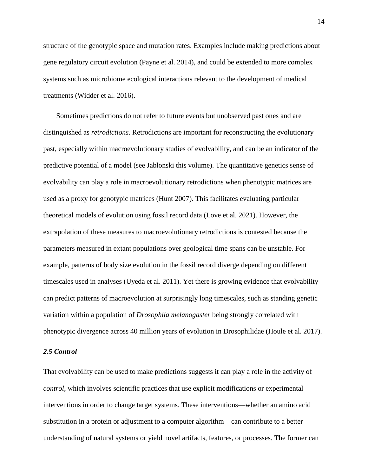structure of the genotypic space and mutation rates. Examples include making predictions about gene regulatory circuit evolution (Payne et al. 2014), and could be extended to more complex systems such as microbiome ecological interactions relevant to the development of medical treatments (Widder et al. 2016).

Sometimes predictions do not refer to future events but unobserved past ones and are distinguished as *retrodictions*. Retrodictions are important for reconstructing the evolutionary past, especially within macroevolutionary studies of evolvability, and can be an indicator of the predictive potential of a model (see Jablonski this volume). The quantitative genetics sense of evolvability can play a role in macroevolutionary retrodictions when phenotypic matrices are used as a proxy for genotypic matrices (Hunt 2007). This facilitates evaluating particular theoretical models of evolution using fossil record data (Love et al. 2021). However, the extrapolation of these measures to macroevolutionary retrodictions is contested because the parameters measured in extant populations over geological time spans can be unstable. For example, patterns of body size evolution in the fossil record diverge depending on different timescales used in analyses (Uyeda et al. 2011). Yet there is growing evidence that evolvability can predict patterns of macroevolution at surprisingly long timescales, such as standing genetic variation within a population of *Drosophila melanogaster* being strongly correlated with phenotypic divergence across 40 million years of evolution in Drosophilidae (Houle et al. 2017).

#### *2.5 Control*

That evolvability can be used to make predictions suggests it can play a role in the activity of *control*, which involves scientific practices that use explicit modifications or experimental interventions in order to change target systems. These interventions—whether an amino acid substitution in a protein or adjustment to a computer algorithm—can contribute to a better understanding of natural systems or yield novel artifacts, features, or processes. The former can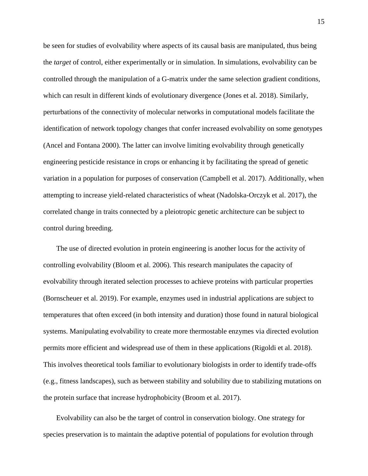be seen for studies of evolvability where aspects of its causal basis are manipulated, thus being the *target* of control, either experimentally or in simulation. In simulations, evolvability can be controlled through the manipulation of a G-matrix under the same selection gradient conditions, which can result in different kinds of evolutionary divergence (Jones et al. 2018). Similarly, perturbations of the connectivity of molecular networks in computational models facilitate the identification of network topology changes that confer increased evolvability on some genotypes (Ancel and Fontana 2000). The latter can involve limiting evolvability through genetically engineering pesticide resistance in crops or enhancing it by facilitating the spread of genetic variation in a population for purposes of conservation (Campbell et al. 2017). Additionally, when attempting to increase yield-related characteristics of wheat (Nadolska-Orczyk et al. 2017), the correlated change in traits connected by a pleiotropic genetic architecture can be subject to control during breeding.

The use of directed evolution in protein engineering is another locus for the activity of controlling evolvability (Bloom et al. 2006). This research manipulates the capacity of evolvability through iterated selection processes to achieve proteins with particular properties (Bornscheuer et al. 2019). For example, enzymes used in industrial applications are subject to temperatures that often exceed (in both intensity and duration) those found in natural biological systems. Manipulating evolvability to create more thermostable enzymes via directed evolution permits more efficient and widespread use of them in these applications (Rigoldi et al. 2018). This involves theoretical tools familiar to evolutionary biologists in order to identify trade-offs (e.g., fitness landscapes), such as between stability and solubility due to stabilizing mutations on the protein surface that increase hydrophobicity (Broom et al. 2017).

Evolvability can also be the target of control in conservation biology. One strategy for species preservation is to maintain the adaptive potential of populations for evolution through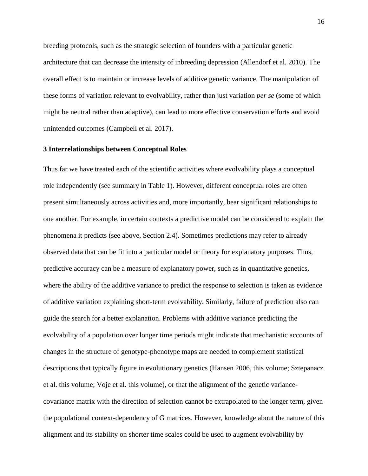breeding protocols, such as the strategic selection of founders with a particular genetic architecture that can decrease the intensity of inbreeding depression (Allendorf et al. 2010). The overall effect is to maintain or increase levels of additive genetic variance. The manipulation of these forms of variation relevant to evolvability, rather than just variation *per se* (some of which might be neutral rather than adaptive), can lead to more effective conservation efforts and avoid unintended outcomes (Campbell et al. 2017).

#### **3 Interrelationships between Conceptual Roles**

Thus far we have treated each of the scientific activities where evolvability plays a conceptual role independently (see summary in Table 1). However, different conceptual roles are often present simultaneously across activities and, more importantly, bear significant relationships to one another. For example, in certain contexts a predictive model can be considered to explain the phenomena it predicts (see above, Section 2.4). Sometimes predictions may refer to already observed data that can be fit into a particular model or theory for explanatory purposes. Thus, predictive accuracy can be a measure of explanatory power, such as in quantitative genetics, where the ability of the additive variance to predict the response to selection is taken as evidence of additive variation explaining short-term evolvability. Similarly, failure of prediction also can guide the search for a better explanation. Problems with additive variance predicting the evolvability of a population over longer time periods might indicate that mechanistic accounts of changes in the structure of genotype-phenotype maps are needed to complement statistical descriptions that typically figure in evolutionary genetics (Hansen 2006, this volume; Sztepanacz et al. this volume; Voje et al. this volume), or that the alignment of the genetic variancecovariance matrix with the direction of selection cannot be extrapolated to the longer term, given the populational context-dependency of G matrices. However, knowledge about the nature of this alignment and its stability on shorter time scales could be used to augment evolvability by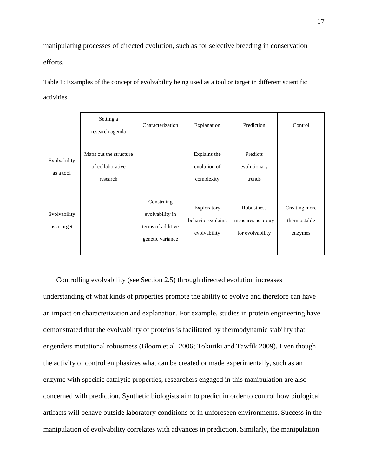manipulating processes of directed evolution, such as for selective breeding in conservation efforts.

Table 1: Examples of the concept of evolvability being used as a tool or target in different scientific activities

|                             | Setting a<br>research agenda                           | Characterization                                                       | Explanation                                      | Prediction                                          | Control                                  |
|-----------------------------|--------------------------------------------------------|------------------------------------------------------------------------|--------------------------------------------------|-----------------------------------------------------|------------------------------------------|
| Evolvability<br>as a tool   | Maps out the structure<br>of collaborative<br>research |                                                                        | Explains the<br>evolution of<br>complexity       | Predicts<br>evolutionary<br>trends                  |                                          |
| Evolvability<br>as a target |                                                        | Construing<br>evolvability in<br>terms of additive<br>genetic variance | Exploratory<br>behavior explains<br>evolvability | Robustness<br>measures as proxy<br>for evolvability | Creating more<br>thermostable<br>enzymes |

Controlling evolvability (see Section 2.5) through directed evolution increases understanding of what kinds of properties promote the ability to evolve and therefore can have an impact on characterization and explanation. For example, studies in protein engineering have demonstrated that the evolvability of proteins is facilitated by thermodynamic stability that engenders mutational robustness (Bloom et al. 2006; Tokuriki and Tawfik 2009). Even though the activity of control emphasizes what can be created or made experimentally, such as an enzyme with specific catalytic properties, researchers engaged in this manipulation are also concerned with prediction. Synthetic biologists aim to predict in order to control how biological artifacts will behave outside laboratory conditions or in unforeseen environments. Success in the manipulation of evolvability correlates with advances in prediction. Similarly, the manipulation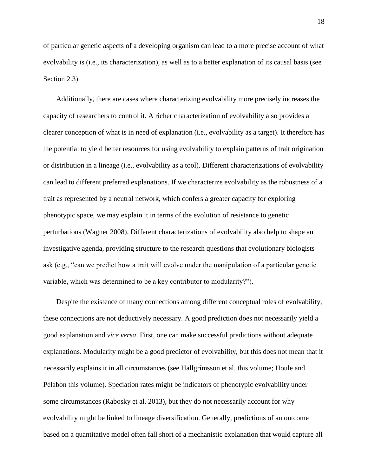of particular genetic aspects of a developing organism can lead to a more precise account of what evolvability is (i.e., its characterization), as well as to a better explanation of its causal basis (see Section 2.3).

Additionally, there are cases where characterizing evolvability more precisely increases the capacity of researchers to control it. A richer characterization of evolvability also provides a clearer conception of what is in need of explanation (i.e., evolvability as a target). It therefore has the potential to yield better resources for using evolvability to explain patterns of trait origination or distribution in a lineage (i.e., evolvability as a tool). Different characterizations of evolvability can lead to different preferred explanations. If we characterize evolvability as the robustness of a trait as represented by a neutral network, which confers a greater capacity for exploring phenotypic space, we may explain it in terms of the evolution of resistance to genetic perturbations (Wagner 2008). Different characterizations of evolvability also help to shape an investigative agenda, providing structure to the research questions that evolutionary biologists ask (e.g., "can we predict how a trait will evolve under the manipulation of a particular genetic variable, which was determined to be a key contributor to modularity?").

Despite the existence of many connections among different conceptual roles of evolvability, these connections are not deductively necessary. A good prediction does not necessarily yield a good explanation and *vice versa*. First, one can make successful predictions without adequate explanations. Modularity might be a good predictor of evolvability, but this does not mean that it necessarily explains it in all circumstances (see Hallgrímsson et al. this volume; Houle and Pélabon this volume). Speciation rates might be indicators of phenotypic evolvability under some circumstances (Rabosky et al. 2013), but they do not necessarily account for why evolvability might be linked to lineage diversification. Generally, predictions of an outcome based on a quantitative model often fall short of a mechanistic explanation that would capture all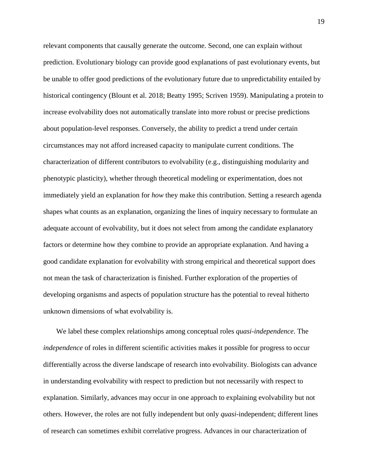relevant components that causally generate the outcome. Second, one can explain without prediction. Evolutionary biology can provide good explanations of past evolutionary events, but be unable to offer good predictions of the evolutionary future due to unpredictability entailed by historical contingency (Blount et al. 2018; Beatty 1995; Scriven 1959). Manipulating a protein to increase evolvability does not automatically translate into more robust or precise predictions about population-level responses. Conversely, the ability to predict a trend under certain circumstances may not afford increased capacity to manipulate current conditions. The characterization of different contributors to evolvability (e.g., distinguishing modularity and phenotypic plasticity), whether through theoretical modeling or experimentation, does not immediately yield an explanation for *how* they make this contribution. Setting a research agenda shapes what counts as an explanation, organizing the lines of inquiry necessary to formulate an adequate account of evolvability, but it does not select from among the candidate explanatory factors or determine how they combine to provide an appropriate explanation. And having a good candidate explanation for evolvability with strong empirical and theoretical support does not mean the task of characterization is finished. Further exploration of the properties of developing organisms and aspects of population structure has the potential to reveal hitherto unknown dimensions of what evolvability is.

We label these complex relationships among conceptual roles *quasi-independence*. The *independence* of roles in different scientific activities makes it possible for progress to occur differentially across the diverse landscape of research into evolvability. Biologists can advance in understanding evolvability with respect to prediction but not necessarily with respect to explanation. Similarly, advances may occur in one approach to explaining evolvability but not others. However, the roles are not fully independent but only *quasi*-independent; different lines of research can sometimes exhibit correlative progress. Advances in our characterization of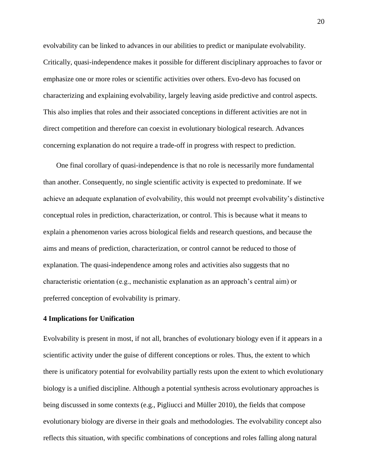evolvability can be linked to advances in our abilities to predict or manipulate evolvability. Critically, quasi-independence makes it possible for different disciplinary approaches to favor or emphasize one or more roles or scientific activities over others. Evo-devo has focused on characterizing and explaining evolvability, largely leaving aside predictive and control aspects. This also implies that roles and their associated conceptions in different activities are not in direct competition and therefore can coexist in evolutionary biological research. Advances concerning explanation do not require a trade-off in progress with respect to prediction.

One final corollary of quasi-independence is that no role is necessarily more fundamental than another. Consequently, no single scientific activity is expected to predominate. If we achieve an adequate explanation of evolvability, this would not preempt evolvability's distinctive conceptual roles in prediction, characterization, or control. This is because what it means to explain a phenomenon varies across biological fields and research questions, and because the aims and means of prediction, characterization, or control cannot be reduced to those of explanation. The quasi-independence among roles and activities also suggests that no characteristic orientation (e.g., mechanistic explanation as an approach's central aim) or preferred conception of evolvability is primary.

#### **4 Implications for Unification**

Evolvability is present in most, if not all, branches of evolutionary biology even if it appears in a scientific activity under the guise of different conceptions or roles. Thus, the extent to which there is unificatory potential for evolvability partially rests upon the extent to which evolutionary biology is a unified discipline. Although a potential synthesis across evolutionary approaches is being discussed in some contexts (e.g., Pigliucci and Müller 2010), the fields that compose evolutionary biology are diverse in their goals and methodologies. The evolvability concept also reflects this situation, with specific combinations of conceptions and roles falling along natural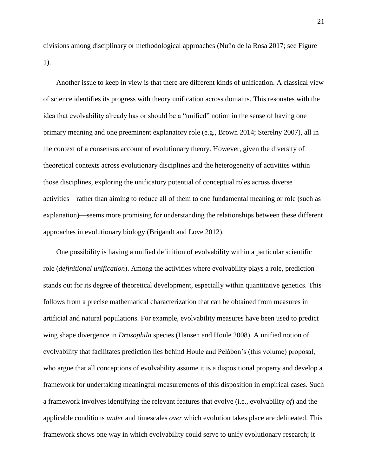divisions among disciplinary or methodological approaches (Nuño de la Rosa 2017; see Figure 1).

Another issue to keep in view is that there are different kinds of unification. A classical view of science identifies its progress with theory unification across domains. This resonates with the idea that evolvability already has or should be a "unified" notion in the sense of having one primary meaning and one preeminent explanatory role (e.g., Brown 2014; Sterelny 2007), all in the context of a consensus account of evolutionary theory. However, given the diversity of theoretical contexts across evolutionary disciplines and the heterogeneity of activities within those disciplines, exploring the unificatory potential of conceptual roles across diverse activities—rather than aiming to reduce all of them to one fundamental meaning or role (such as explanation)—seems more promising for understanding the relationships between these different approaches in evolutionary biology (Brigandt and Love 2012).

One possibility is having a unified definition of evolvability within a particular scientific role (*definitional unification*). Among the activities where evolvability plays a role, prediction stands out for its degree of theoretical development, especially within quantitative genetics. This follows from a precise mathematical characterization that can be obtained from measures in artificial and natural populations. For example, evolvability measures have been used to predict wing shape divergence in *Drosophila* species (Hansen and Houle 2008). A unified notion of evolvability that facilitates prediction lies behind Houle and Pelábon's (this volume) proposal, who argue that all conceptions of evolvability assume it is a dispositional property and develop a framework for undertaking meaningful measurements of this disposition in empirical cases. Such a framework involves identifying the relevant features that evolve (i.e., evolvability *of*) and the applicable conditions *under* and timescales *over* which evolution takes place are delineated. This framework shows one way in which evolvability could serve to unify evolutionary research; it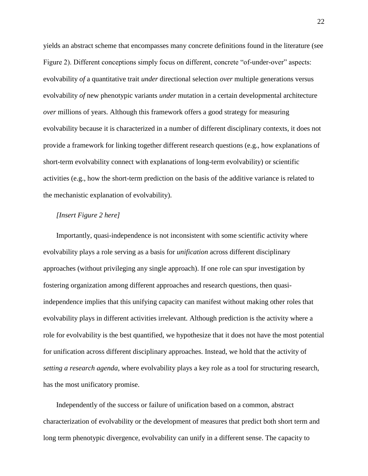yields an abstract scheme that encompasses many concrete definitions found in the literature (see Figure 2). Different conceptions simply focus on different, concrete "of-under-over" aspects: evolvability *of* a quantitative trait *under* directional selection *over* multiple generations versus evolvability *of* new phenotypic variants *under* mutation in a certain developmental architecture *over* millions of years. Although this framework offers a good strategy for measuring evolvability because it is characterized in a number of different disciplinary contexts, it does not provide a framework for linking together different research questions (e.g., how explanations of short-term evolvability connect with explanations of long-term evolvability) or scientific activities (e.g., how the short-term prediction on the basis of the additive variance is related to the mechanistic explanation of evolvability).

#### *[Insert Figure 2 here]*

Importantly, quasi-independence is not inconsistent with some scientific activity where evolvability plays a role serving as a basis for *unification* across different disciplinary approaches (without privileging any single approach). If one role can spur investigation by fostering organization among different approaches and research questions, then quasiindependence implies that this unifying capacity can manifest without making other roles that evolvability plays in different activities irrelevant. Although prediction is the activity where a role for evolvability is the best quantified, we hypothesize that it does not have the most potential for unification across different disciplinary approaches. Instead, we hold that the activity of *setting a research agenda*, where evolvability plays a key role as a tool for structuring research, has the most unificatory promise.

Independently of the success or failure of unification based on a common, abstract characterization of evolvability or the development of measures that predict both short term and long term phenotypic divergence, evolvability can unify in a different sense. The capacity to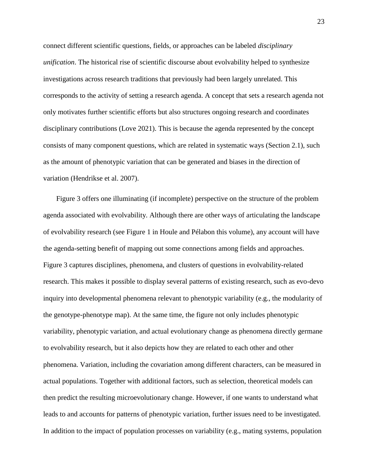connect different scientific questions, fields, or approaches can be labeled *disciplinary unification*. The historical rise of scientific discourse about evolvability helped to synthesize investigations across research traditions that previously had been largely unrelated. This corresponds to the activity of setting a research agenda. A concept that sets a research agenda not only motivates further scientific efforts but also structures ongoing research and coordinates disciplinary contributions (Love 2021). This is because the agenda represented by the concept consists of many component questions, which are related in systematic ways (Section 2.1), such as the amount of phenotypic variation that can be generated and biases in the direction of variation (Hendrikse et al. 2007).

Figure 3 offers one illuminating (if incomplete) perspective on the structure of the problem agenda associated with evolvability. Although there are other ways of articulating the landscape of evolvability research (see Figure 1 in Houle and Pélabon this volume), any account will have the agenda-setting benefit of mapping out some connections among fields and approaches. Figure 3 captures disciplines, phenomena, and clusters of questions in evolvability-related research. This makes it possible to display several patterns of existing research, such as evo-devo inquiry into developmental phenomena relevant to phenotypic variability (e.g., the modularity of the genotype-phenotype map). At the same time, the figure not only includes phenotypic variability, phenotypic variation, and actual evolutionary change as phenomena directly germane to evolvability research, but it also depicts how they are related to each other and other phenomena. Variation, including the covariation among different characters, can be measured in actual populations. Together with additional factors, such as selection, theoretical models can then predict the resulting microevolutionary change. However, if one wants to understand what leads to and accounts for patterns of phenotypic variation, further issues need to be investigated. In addition to the impact of population processes on variability (e.g., mating systems, population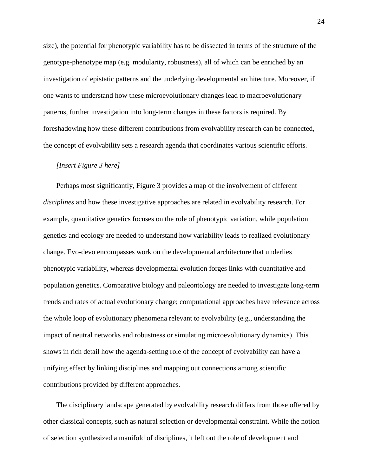size), the potential for phenotypic variability has to be dissected in terms of the structure of the genotype-phenotype map (e.g. modularity, robustness), all of which can be enriched by an investigation of epistatic patterns and the underlying developmental architecture. Moreover, if one wants to understand how these microevolutionary changes lead to macroevolutionary patterns, further investigation into long-term changes in these factors is required. By foreshadowing how these different contributions from evolvability research can be connected, the concept of evolvability sets a research agenda that coordinates various scientific efforts.

#### *[Insert Figure 3 here]*

Perhaps most significantly, Figure 3 provides a map of the involvement of different *disciplines* and how these investigative approaches are related in evolvability research. For example, quantitative genetics focuses on the role of phenotypic variation, while population genetics and ecology are needed to understand how variability leads to realized evolutionary change. Evo-devo encompasses work on the developmental architecture that underlies phenotypic variability, whereas developmental evolution forges links with quantitative and population genetics. Comparative biology and paleontology are needed to investigate long-term trends and rates of actual evolutionary change; computational approaches have relevance across the whole loop of evolutionary phenomena relevant to evolvability (e.g., understanding the impact of neutral networks and robustness or simulating microevolutionary dynamics). This shows in rich detail how the agenda-setting role of the concept of evolvability can have a unifying effect by linking disciplines and mapping out connections among scientific contributions provided by different approaches.

The disciplinary landscape generated by evolvability research differs from those offered by other classical concepts, such as natural selection or developmental constraint. While the notion of selection synthesized a manifold of disciplines, it left out the role of development and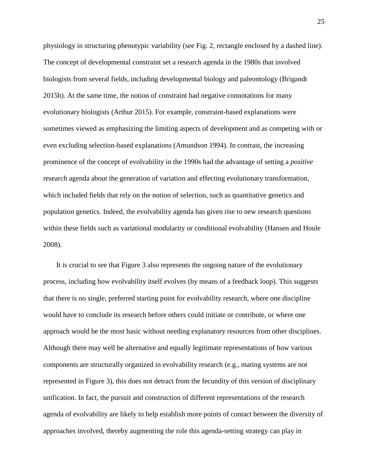physiology in structuring phenotypic variability (see Fig. 2, rectangle enclosed by a dashed line). The concept of developmental constraint set a research agenda in the 1980s that involved biologists from several fields, including developmental biology and paleontology (Brigandt 2015b). At the same time, the notion of constraint had negative connotations for many evolutionary biologists (Arthur 2015). For example, constraint-based explanations were sometimes viewed as emphasizing the limiting aspects of development and as competing with or even excluding selection-based explanations (Amundson 1994). In contrast, the increasing prominence of the concept of evolvability in the 1990s had the advantage of setting a *positive* research agenda about the generation of variation and effecting evolutionary transformation, which included fields that rely on the notion of selection, such as quantitative genetics and population genetics. Indeed, the evolvability agenda has given rise to new research questions within these fields such as variational modularity or conditional evolvability (Hansen and Houle 2008).

It is crucial to see that Figure 3 also represents the ongoing nature of the evolutionary process, including how evolvability itself evolves (by means of a feedback loop). This suggests that there is no single, preferred starting point for evolvability research, where one discipline would have to conclude its research before others could initiate or contribute, or where one approach would be the most basic without needing explanatory resources from other disciplines. Although there may well be alternative and equally legitimate representations of how various components are structurally organized in evolvability research (e.g., mating systems are not represented in Figure 3), this does not detract from the fecundity of this version of disciplinary unification. In fact, the pursuit and construction of different representations of the research agenda of evolvability are likely to help establish more points of contact between the diversity of approaches involved, thereby augmenting the role this agenda-setting strategy can play in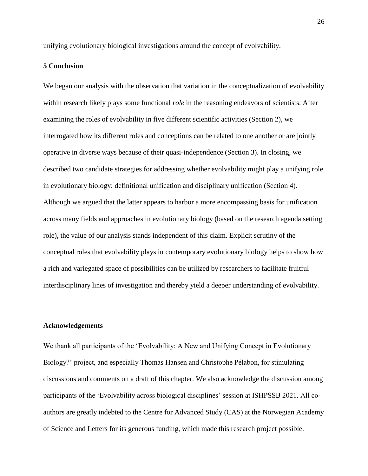unifying evolutionary biological investigations around the concept of evolvability.

#### **5 Conclusion**

We began our analysis with the observation that variation in the conceptualization of evolvability within research likely plays some functional *role* in the reasoning endeavors of scientists. After examining the roles of evolvability in five different scientific activities (Section 2), we interrogated how its different roles and conceptions can be related to one another or are jointly operative in diverse ways because of their quasi-independence (Section 3). In closing, we described two candidate strategies for addressing whether evolvability might play a unifying role in evolutionary biology: definitional unification and disciplinary unification (Section 4). Although we argued that the latter appears to harbor a more encompassing basis for unification across many fields and approaches in evolutionary biology (based on the research agenda setting role), the value of our analysis stands independent of this claim. Explicit scrutiny of the conceptual roles that evolvability plays in contemporary evolutionary biology helps to show how a rich and variegated space of possibilities can be utilized by researchers to facilitate fruitful interdisciplinary lines of investigation and thereby yield a deeper understanding of evolvability.

#### **Acknowledgements**

We thank all participants of the 'Evolvability: A New and Unifying Concept in Evolutionary Biology?' project, and especially Thomas Hansen and Christophe Pélabon, for stimulating discussions and comments on a draft of this chapter. We also acknowledge the discussion among participants of the 'Evolvability across biological disciplines' session at ISHPSSB 2021. All coauthors are greatly indebted to the Centre for Advanced Study (CAS) at the Norwegian Academy of Science and Letters for its generous funding, which made this research project possible.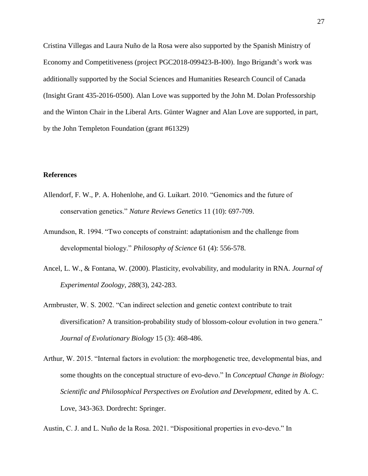Cristina Villegas and Laura Nuño de la Rosa were also supported by the Spanish Ministry of Economy and Competitiveness (project PGC2018-099423-B-I00). Ingo Brigandt's work was additionally supported by the Social Sciences and Humanities Research Council of Canada (Insight Grant 435-2016-0500). Alan Love was supported by the John M. Dolan Professorship and the Winton Chair in the Liberal Arts. Günter Wagner and Alan Love are supported, in part, by the John Templeton Foundation (grant #61329)

#### **References**

- Allendorf, F. W., P. A. Hohenlohe, and G. Luikart. 2010. "Genomics and the future of conservation genetics." *Nature Reviews Genetics* 11 (10): 697-709.
- Amundson, R. 1994. "Two concepts of constraint: adaptationism and the challenge from developmental biology." *Philosophy of Science* 61 (4): 556-578.
- Ancel, L. W., & Fontana, W. (2000). Plasticity, evolvability, and modularity in RNA. *Journal of Experimental Zoology*, *288*(3), 242-283.
- Armbruster, W. S. 2002. "Can indirect selection and genetic context contribute to trait diversification? A transition-probability study of blossom-colour evolution in two genera." *Journal of Evolutionary Biology* 15 (3): 468-486.
- Arthur, W. 2015. "Internal factors in evolution: the morphogenetic tree, developmental bias, and some thoughts on the conceptual structure of evo-devo." In *Conceptual Change in Biology: Scientific and Philosophical Perspectives on Evolution and Development*, edited by A. C. Love, 343-363. Dordrecht: Springer.

Austin, C. J. and L. Nuño de la Rosa. 2021. "Dispositional properties in evo-devo." In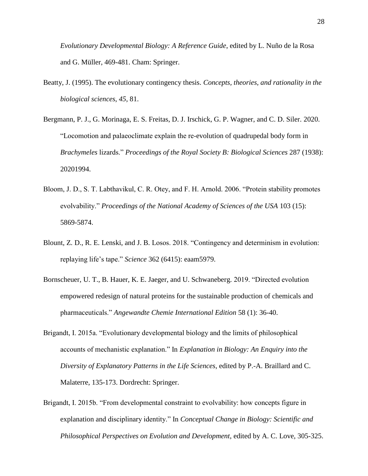*Evolutionary Developmental Biology: A Reference Guide*, edited by L. Nuño de la Rosa and G. Müller, 469-481. Cham: Springer.

- Beatty, J. (1995). The evolutionary contingency thesis. *Concepts, theories, and rationality in the biological sciences*, *45*, 81.
- Bergmann, P. J., G. Morinaga, E. S. Freitas, D. J. Irschick, G. P. Wagner, and C. D. Siler. 2020. "Locomotion and palaeoclimate explain the re-evolution of quadrupedal body form in *Brachymeles* lizards." *Proceedings of the Royal Society B: Biological Sciences* 287 (1938): 20201994.
- Bloom, J. D., S. T. Labthavikul, C. R. Otey, and F. H. Arnold. 2006. "Protein stability promotes evolvability." *Proceedings of the National Academy of Sciences of the USA* 103 (15): 5869-5874.
- Blount, Z. D., R. E. Lenski, and J. B. Losos. 2018. "Contingency and determinism in evolution: replaying life's tape." *Science* 362 (6415): eaam5979.
- Bornscheuer, U. T., B. Hauer, K. E. Jaeger, and U. Schwaneberg. 2019. "Directed evolution empowered redesign of natural proteins for the sustainable production of chemicals and pharmaceuticals." *Angewandte Chemie International Edition* 58 (1): 36-40.
- Brigandt, I. 2015a. "Evolutionary developmental biology and the limits of philosophical accounts of mechanistic explanation." In *Explanation in Biology: An Enquiry into the Diversity of Explanatory Patterns in the Life Sciences*, edited by P.-A. Braillard and C. Malaterre, 135-173. Dordrecht: Springer.
- Brigandt, I. 2015b. "From developmental constraint to evolvability: how concepts figure in explanation and disciplinary identity." In *Conceptual Change in Biology: Scientific and Philosophical Perspectives on Evolution and Development*, edited by A. C. Love, 305-325.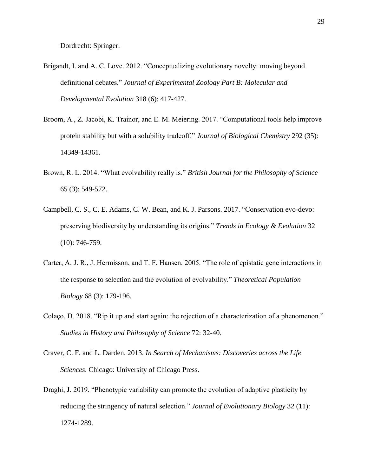Dordrecht: Springer.

- Brigandt, I. and A. C. Love. 2012. "Conceptualizing evolutionary novelty: moving beyond definitional debates." *Journal of Experimental Zoology Part B: Molecular and Developmental Evolution* 318 (6): 417-427.
- Broom, A., Z. Jacobi, K. Trainor, and E. M. Meiering. 2017. "Computational tools help improve protein stability but with a solubility tradeoff." *Journal of Biological Chemistry* 292 (35): 14349-14361.
- Brown, R. L. 2014. "What evolvability really is." *British Journal for the Philosophy of Science*  65 (3): 549-572.
- Campbell, C. S., C. E. Adams, C. W. Bean, and K. J. Parsons. 2017. "Conservation evo-devo: preserving biodiversity by understanding its origins." *Trends in Ecology & Evolution* 32 (10): 746-759.
- Carter, A. J. R., J. Hermisson, and T. F. Hansen. 2005. "The role of epistatic gene interactions in the response to selection and the evolution of evolvability." *Theoretical Population Biology* 68 (3): 179-196.
- Colaço, D. 2018. "Rip it up and start again: the rejection of a characterization of a phenomenon." *Studies in History and Philosophy of Science* 72: 32-40.
- Craver, C. F. and L. Darden. 2013. *In Search of Mechanisms: Discoveries across the Life Sciences*. Chicago: University of Chicago Press.
- Draghi, J. 2019. "Phenotypic variability can promote the evolution of adaptive plasticity by reducing the stringency of natural selection." *Journal of Evolutionary Biology* 32 (11): 1274-1289.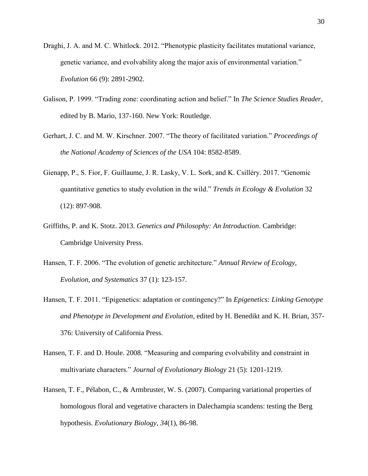- Draghi, J. A. and M. C. Whitlock. 2012. "Phenotypic plasticity facilitates mutational variance, genetic variance, and evolvability along the major axis of environmental variation." *Evolution* 66 (9): 2891-2902.
- Galison, P. 1999. "Trading zone: coordinating action and belief." In *The Science Studies Reader*, edited by B. Mario, 137-160. New York: Routledge.
- Gerhart, J. C. and M. W. Kirschner. 2007. "The theory of facilitated variation." *Proceedings of the National Academy of Sciences of the USA* 104: 8582-8589.
- Gienapp, P., S. Fior, F. Guillaume, J. R. Lasky, V. L. Sork, and K. Csilléry. 2017. "Genomic quantitative genetics to study evolution in the wild." *Trends in Ecology & Evolution* 32 (12): 897-908.
- Griffiths, P. and K. Stotz. 2013. *Genetics and Philosophy: An Introduction*. Cambridge: Cambridge University Press.
- Hansen, T. F. 2006. "The evolution of genetic architecture." *Annual Review of Ecology, Evolution, and Systematics* 37 (1): 123-157.
- Hansen, T. F. 2011. "Epigenetics: adaptation or contingency?" In *Epigenetics: Linking Genotype and Phenotype in Development and Evolution*, edited by H. Benedikt and K. H. Brian, 357- 376: University of California Press.
- Hansen, T. F. and D. Houle. 2008. "Measuring and comparing evolvability and constraint in multivariate characters." *Journal of Evolutionary Biology* 21 (5): 1201-1219.
- Hansen, T. F., Pélabon, C., & Armbruster, W. S. (2007). Comparing variational properties of homologous floral and vegetative characters in Dalechampia scandens: testing the Berg hypothesis. *Evolutionary Biology*, *34*(1), 86-98.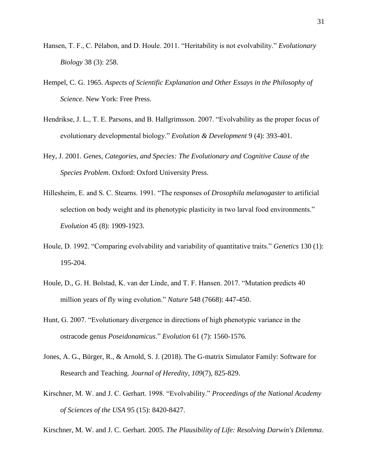- Hansen, T. F., C. Pélabon, and D. Houle. 2011. "Heritability is not evolvability." *Evolutionary Biology* 38 (3): 258.
- Hempel, C. G. 1965. *Aspects of Scientific Explanation and Other Essays in the Philosophy of Science*. New York: Free Press.
- Hendrikse, J. L., T. E. Parsons, and B. Hallgrímsson. 2007. "Evolvability as the proper focus of evolutionary developmental biology." *Evolution & Development* 9 (4): 393-401.
- Hey, J. 2001. *Genes, Categories, and Species: The Evolutionary and Cognitive Cause of the Species Problem*. Oxford: Oxford University Press.
- Hillesheim, E. and S. C. Stearns. 1991. "The responses of *Drosophila melanogaster* to artificial selection on body weight and its phenotypic plasticity in two larval food environments." *Evolution* 45 (8): 1909-1923.
- Houle, D. 1992. "Comparing evolvability and variability of quantitative traits." *Genetics* 130 (1): 195-204.
- Houle, D., G. H. Bolstad, K. van der Linde, and T. F. Hansen. 2017. "Mutation predicts 40 million years of fly wing evolution." *Nature* 548 (7668): 447-450.
- Hunt, G. 2007. "Evolutionary divergence in directions of high phenotypic variance in the ostracode genus *Poseidonamicus*." *Evolution* 61 (7): 1560-1576.
- Jones, A. G., Bürger, R., & Arnold, S. J. (2018). The G-matrix Simulator Family: Software for Research and Teaching. *Journal of Heredity*, *109*(7), 825-829.
- Kirschner, M. W. and J. C. Gerhart. 1998. "Evolvability." *Proceedings of the National Academy of Sciences of the USA* 95 (15): 8420-8427.

Kirschner, M. W. and J. C. Gerhart. 2005. *The Plausibility of Life: Resolving Darwin's Dilemma*.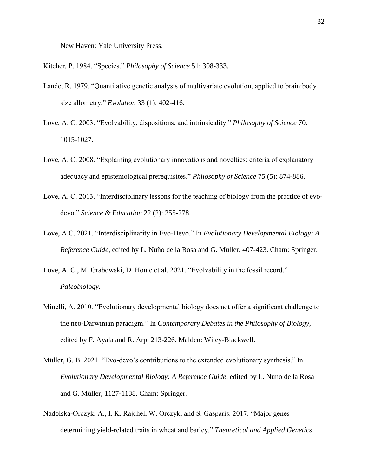New Haven: Yale University Press.

Kitcher, P. 1984. "Species." *Philosophy of Science* 51: 308-333.

- Lande, R. 1979. "Quantitative genetic analysis of multivariate evolution, applied to brain:body size allometry." *Evolution* 33 (1): 402-416.
- Love, A. C. 2003. "Evolvability, dispositions, and intrinsicality." *Philosophy of Science* 70: 1015-1027.
- Love, A. C. 2008. "Explaining evolutionary innovations and novelties: criteria of explanatory adequacy and epistemological prerequisites." *Philosophy of Science* 75 (5): 874-886.
- Love, A. C. 2013. "Interdisciplinary lessons for the teaching of biology from the practice of evodevo." *Science & Education* 22 (2): 255-278.
- Love, A.C. 2021. "Interdisciplinarity in Evo-Devo." In *Evolutionary Developmental Biology: A Reference Guide*, edited by L. Nuño de la Rosa and G. Müller, 407-423. Cham: Springer.
- Love, A. C., M. Grabowski, D. Houle et al. 2021. "Evolvability in the fossil record." *Paleobiology*.
- Minelli, A. 2010. "Evolutionary developmental biology does not offer a significant challenge to the neo-Darwinian paradigm." In *Contemporary Debates in the Philosophy of Biology*, edited by F. Ayala and R. Arp, 213-226. Malden: Wiley-Blackwell.
- Müller, G. B. 2021. "Evo-devo's contributions to the extended evolutionary synthesis." In *Evolutionary Developmental Biology: A Reference Guide*, edited by L. Nuno de la Rosa and G. Müller, 1127-1138. Cham: Springer.
- Nadolska-Orczyk, A., I. K. Rajchel, W. Orczyk, and S. Gasparis. 2017. "Major genes determining yield-related traits in wheat and barley." *Theoretical and Applied Genetics*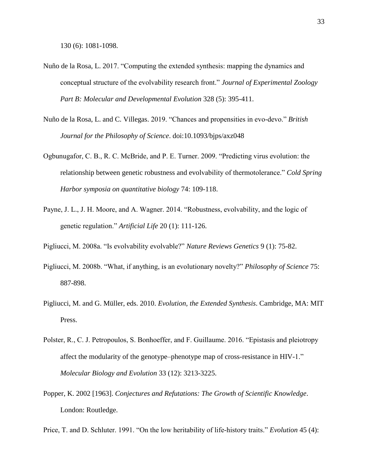- Nuño de la Rosa, L. 2017. "Computing the extended synthesis: mapping the dynamics and conceptual structure of the evolvability research front." *Journal of Experimental Zoology Part B: Molecular and Developmental Evolution* 328 (5): 395-411.
- Nuño de la Rosa, L. and C. Villegas. 2019. "Chances and propensities in evo-devo." *British Journal for the Philosophy of Science*. doi:10.1093/bjps/axz048
- Ogbunugafor, C. B., R. C. McBride, and P. E. Turner. 2009. "Predicting virus evolution: the relationship between genetic robustness and evolvability of thermotolerance." *Cold Spring Harbor symposia on quantitative biology* 74: 109-118.
- Payne, J. L., J. H. Moore, and A. Wagner. 2014. "Robustness, evolvability, and the logic of genetic regulation." *Artificial Life* 20 (1): 111-126.
- Pigliucci, M. 2008a. "Is evolvability evolvable?" *Nature Reviews Genetics* 9 (1): 75-82.
- Pigliucci, M. 2008b. "What, if anything, is an evolutionary novelty?" *Philosophy of Science* 75: 887-898.
- Pigliucci, M. and G. Müller, eds. 2010. *Evolution, the Extended Synthesis*. Cambridge, MA: MIT Press.
- Polster, R., C. J. Petropoulos, S. Bonhoeffer, and F. Guillaume. 2016. "Epistasis and pleiotropy affect the modularity of the genotype–phenotype map of cross-resistance in HIV-1." *Molecular Biology and Evolution* 33 (12): 3213-3225.
- Popper, K. 2002 [1963]. *Conjectures and Refutations: The Growth of Scientific Knowledge*. London: Routledge.

Price, T. and D. Schluter. 1991. "On the low heritability of life-history traits." *Evolution* 45 (4):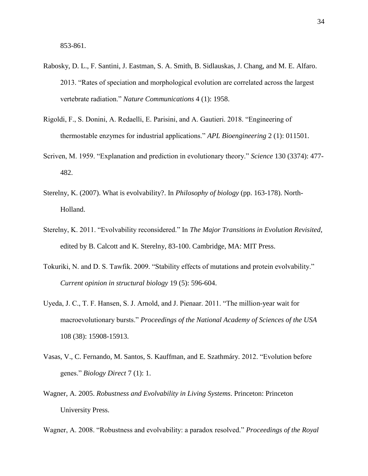- Rabosky, D. L., F. Santini, J. Eastman, S. A. Smith, B. Sidlauskas, J. Chang, and M. E. Alfaro. 2013. "Rates of speciation and morphological evolution are correlated across the largest vertebrate radiation." *Nature Communications* 4 (1): 1958.
- Rigoldi, F., S. Donini, A. Redaelli, E. Parisini, and A. Gautieri. 2018. "Engineering of thermostable enzymes for industrial applications." *APL Bioengineering* 2 (1): 011501.
- Scriven, M. 1959. "Explanation and prediction in evolutionary theory." *Science* 130 (3374): 477- 482.
- Sterelny, K. (2007). What is evolvability?. In *Philosophy of biology* (pp. 163-178). North-Holland.
- Sterelny, K. 2011. "Evolvability reconsidered." In *The Major Transitions in Evolution Revisited*, edited by B. Calcott and K. Sterelny, 83-100. Cambridge, MA: MIT Press.
- Tokuriki, N. and D. S. Tawfik. 2009. "Stability effects of mutations and protein evolvability." *Current opinion in structural biology* 19 (5): 596-604.
- Uyeda, J. C., T. F. Hansen, S. J. Arnold, and J. Pienaar. 2011. "The million-year wait for macroevolutionary bursts." *Proceedings of the National Academy of Sciences of the USA*  108 (38): 15908-15913.
- Vasas, V., C. Fernando, M. Santos, S. Kauffman, and E. Szathmáry. 2012. "Evolution before genes." *Biology Direct* 7 (1): 1.
- Wagner, A. 2005. *Robustness and Evolvability in Living Systems*. Princeton: Princeton University Press.

Wagner, A. 2008. "Robustness and evolvability: a paradox resolved." *Proceedings of the Royal*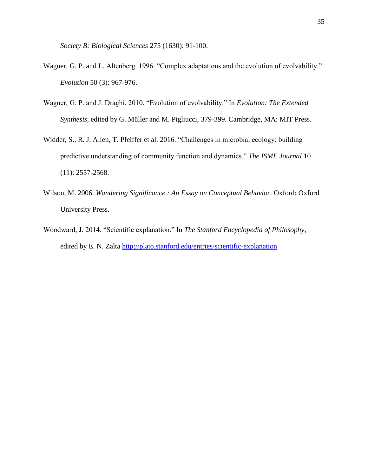*Society B: Biological Sciences* 275 (1630): 91-100.

- Wagner, G. P. and L. Altenberg. 1996. "Complex adaptations and the evolution of evolvability." *Evolution* 50 (3): 967-976.
- Wagner, G. P. and J. Draghi. 2010. "Evolution of evolvability." In *Evolution: The Extended Synthesis*, edited by G. Müller and M. Pigliucci, 379-399. Cambridge, MA: MIT Press.
- Widder, S., R. J. Allen, T. Pfeiffer et al. 2016. "Challenges in microbial ecology: building predictive understanding of community function and dynamics." *The ISME Journal* 10 (11): 2557-2568.
- Wilson, M. 2006. *Wandering Significance : An Essay on Conceptual Behavior*. Oxford: Oxford University Press.
- Woodward, J. 2014. "Scientific explanation." In *The Stanford Encyclopedia of Philosophy*, edited by E. N. Zalta http://plato.stanford.edu/entries/scientific-explanation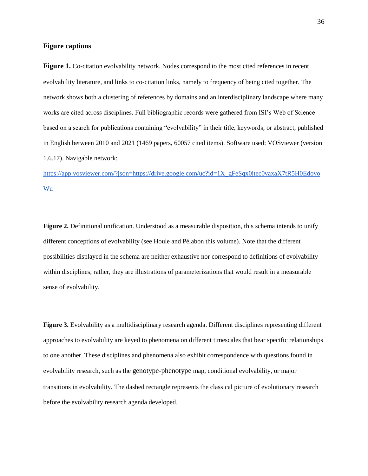#### **Figure captions**

**Figure 1.** Co-citation evolvability network. Nodes correspond to the most cited references in recent evolvability literature, and links to co-citation links, namely to frequency of being cited together. The network shows both a clustering of references by domains and an interdisciplinary landscape where many works are cited across disciplines. Full bibliographic records were gathered from ISI's Web of Science based on a search for publications containing "evolvability" in their title, keywords, or abstract, published in English between 2010 and 2021 (1469 papers, 60057 cited items). Software used: VOSviewer (version 1.6.17). Navigable network:

[https://app.vosviewer.com/?json=https://drive.google.com/uc?id=1X\\_gFeSqx0jtec0vaxaX7tR5H0Edovo](https://app.vosviewer.com/?json=https://drive.google.com/uc?id=1X_gFeSqx0jtec0vaxaX7tR5H0EdovoWu) [Wu](https://app.vosviewer.com/?json=https://drive.google.com/uc?id=1X_gFeSqx0jtec0vaxaX7tR5H0EdovoWu)

**Figure 2.** Definitional unification. Understood as a measurable disposition, this schema intends to unify different conceptions of evolvability (see Houle and Pélabon this volume). Note that the different possibilities displayed in the schema are neither exhaustive nor correspond to definitions of evolvability within disciplines; rather, they are illustrations of parameterizations that would result in a measurable sense of evolvability.

**Figure 3.** Evolvability as a multidisciplinary research agenda. Different disciplines representing different approaches to evolvability are keyed to phenomena on different timescales that bear specific relationships to one another. These disciplines and phenomena also exhibit correspondence with questions found in evolvability research, such as the genotype-phenotype map, conditional evolvability, or major transitions in evolvability. The dashed rectangle represents the classical picture of evolutionary research before the evolvability research agenda developed.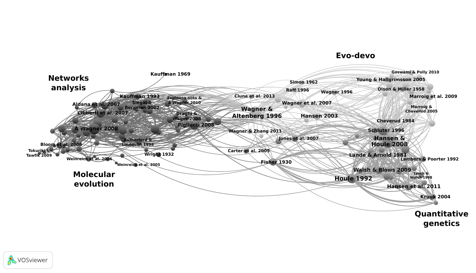



## **Evo-devo**

# **Quantitative genetics**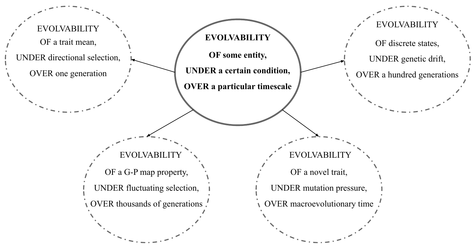